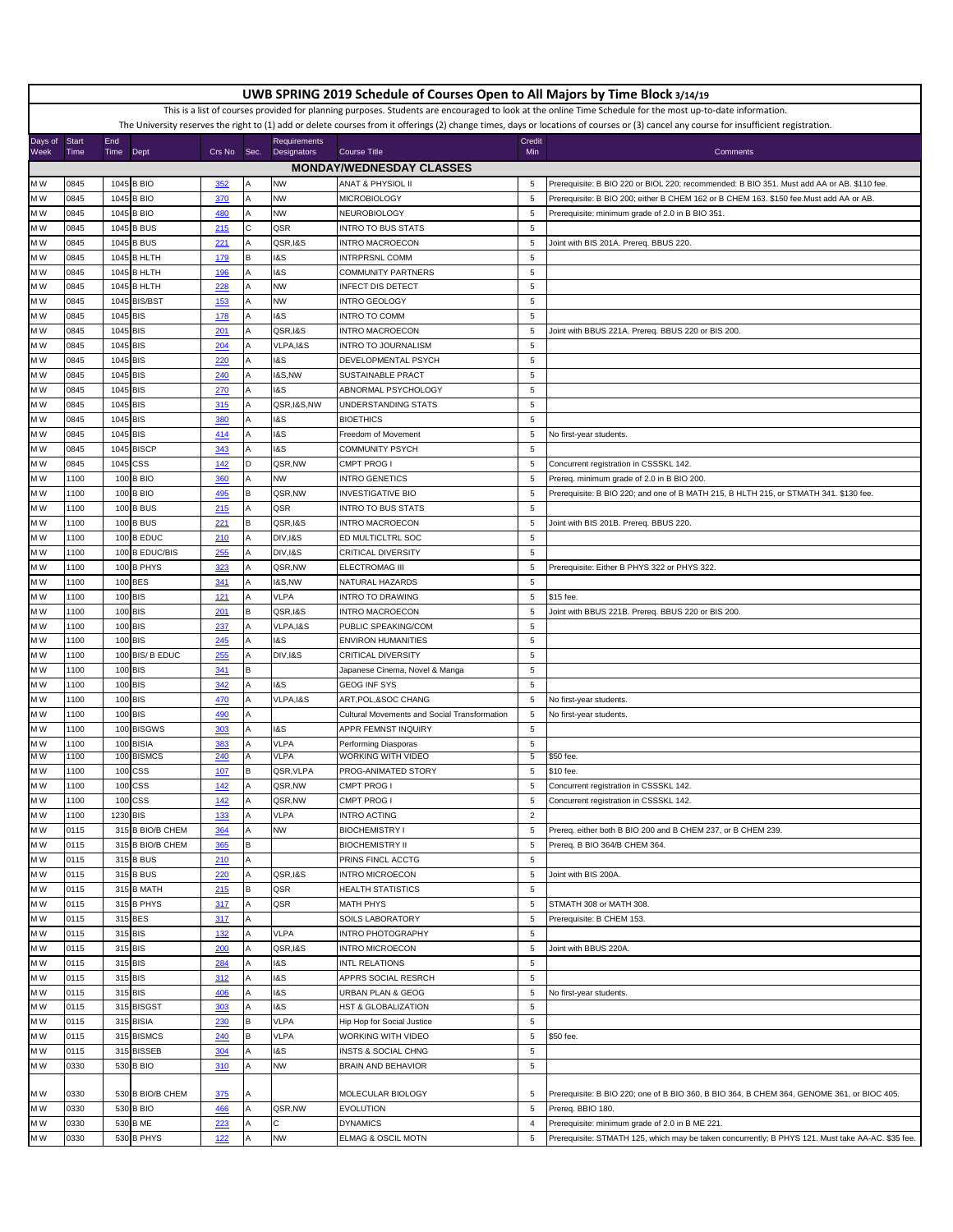|                                                                                                                                                            | UWB SPRING 2019 Schedule of Courses Open to All Majors by Time Block 3/14/19 |          |                         |             |      |                     |                                              |                  |                                                                                                                                                                                         |
|------------------------------------------------------------------------------------------------------------------------------------------------------------|------------------------------------------------------------------------------|----------|-------------------------|-------------|------|---------------------|----------------------------------------------|------------------|-----------------------------------------------------------------------------------------------------------------------------------------------------------------------------------------|
| This is a list of courses provided for planning purposes. Students are encouraged to look at the online Time Schedule for the most up-to-date information. |                                                                              |          |                         |             |      |                     |                                              |                  |                                                                                                                                                                                         |
|                                                                                                                                                            |                                                                              |          |                         |             |      |                     |                                              |                  | The University reserves the right to (1) add or delete courses from it offerings (2) change times, days or locations of courses or (3) cancel any course for insufficient registration. |
| Days of                                                                                                                                                    | Start                                                                        | End      |                         |             |      | <b>Requirements</b> |                                              | Credit           |                                                                                                                                                                                         |
| Week                                                                                                                                                       | Time                                                                         | Time     | Dept                    | Crs No      | Sec. | Designators         | <b>Course Title</b>                          | Min              | Comments                                                                                                                                                                                |
|                                                                                                                                                            |                                                                              |          |                         |             |      |                     | <b>MONDAY/WEDNESDAY CLASSES</b>              |                  |                                                                                                                                                                                         |
| M W                                                                                                                                                        | 0845                                                                         |          | 1045 B BIO              | 352         |      | <b>NW</b>           | <b>ANAT &amp; PHYSIOL II</b>                 | $\overline{5}$   | Prerequisite: B BIO 220 or BIOL 220; recommended: B BIO 351. Must add AA or AB. \$110 fee.                                                                                              |
| M W                                                                                                                                                        | 0845                                                                         |          | 1045 B BIO              | 370         |      | <b>NW</b>           | MICROBIOLOGY                                 | $\overline{5}$   | Prerequisite: B BIO 200; either B CHEM 162 or B CHEM 163. \$150 fee. Must add AA or AB.                                                                                                 |
| МW                                                                                                                                                         | 0845                                                                         |          | 1045 B BIO              | 480         |      | <b>NW</b>           | NEUROBIOLOGY                                 | 5                | Prerequisite: minimum grade of 2.0 in B BIO 351.                                                                                                                                        |
| MW                                                                                                                                                         | 0845                                                                         |          | 1045 B BUS              | 215         | с    | QSR                 | NTRO TO BUS STATS                            | 5                |                                                                                                                                                                                         |
| МW                                                                                                                                                         | 0845                                                                         |          | 1045 B BUS              | 221         |      | QSR, I&S            | <b>INTRO MACROECON</b>                       | 5                | Joint with BIS 201A. Prereq. BBUS 220.                                                                                                                                                  |
| M W                                                                                                                                                        | 0845                                                                         | 1045     | <b>BHLTH</b>            | 179         | В    | 18S                 | INTRPRSNL COMM                               | 5                |                                                                                                                                                                                         |
| ΜW                                                                                                                                                         | 0845                                                                         |          | 1045 B HLTH             | <b>196</b>  |      | <b>1&amp;S</b>      | COMMUNITY PARTNERS                           | 5                |                                                                                                                                                                                         |
| M W                                                                                                                                                        | 0845                                                                         |          | 1045 B HLTH             | 228         |      | <b>NW</b>           | <b>INFECT DIS DETECT</b>                     | $\,$ 5 $\,$      |                                                                                                                                                                                         |
| M W                                                                                                                                                        | 0845                                                                         |          | 1045 BIS/BST            | 153         |      | <b>NW</b>           | INTRO GEOLOGY                                | 5                |                                                                                                                                                                                         |
| M W                                                                                                                                                        | 0845                                                                         | 1045 BIS |                         | 178         |      | I&S                 | NTRO TO COMM                                 | 5                |                                                                                                                                                                                         |
| M W                                                                                                                                                        | 0845                                                                         | 1045 BIS |                         | 201         |      | QSR, I&S            | <b>INTRO MACROECON</b>                       | 5                | Joint with BBUS 221A. Prereq. BBUS 220 or BIS 200.                                                                                                                                      |
| МW                                                                                                                                                         | 0845                                                                         | 1045 BIS |                         | 204         |      | VLPA, I&S           | NTRO TO JOURNALISM                           | 5                |                                                                                                                                                                                         |
| МW                                                                                                                                                         | 0845                                                                         | 1045 BIS |                         | 220         |      | <b>1&amp;S</b>      | DEVELOPMENTAL PSYCH                          | 5                |                                                                                                                                                                                         |
| ΜW                                                                                                                                                         | 0845                                                                         | 1045 BIS |                         | 240         |      | <b>1&amp;S,NW</b>   | SUSTAINABLE PRACT                            | 5                |                                                                                                                                                                                         |
| M W                                                                                                                                                        | 0845                                                                         | 1045 BIS |                         | 270         |      | 18S                 | ABNORMAL PSYCHOLOGY                          | 5                |                                                                                                                                                                                         |
| M W                                                                                                                                                        | 0845                                                                         | 1045 BIS |                         | 315         |      | QSR, I&S, NW        | UNDERSTANDING STATS                          | 5                |                                                                                                                                                                                         |
| M W                                                                                                                                                        | 0845                                                                         | 1045 BIS |                         | 380         |      | <b>1&amp;S</b>      | <b>BIOETHICS</b>                             | 5                |                                                                                                                                                                                         |
| MW                                                                                                                                                         | 0845                                                                         | 1045 BIS |                         | 414         |      | 18S                 | Freedom of Movement                          | 5                | No first-year students.                                                                                                                                                                 |
| ИW                                                                                                                                                         | 0845                                                                         |          | 1045 BISCP              | 343         |      | I&S                 | COMMUNITY PSYCH                              | 5                |                                                                                                                                                                                         |
| MW                                                                                                                                                         | 0845                                                                         |          | 1045 CSS                | 142         | D    | QSR,NW              | CMPT PROG I                                  | $\sqrt{5}$       | Concurrent registration in CSSSKL 142.                                                                                                                                                  |
| M W                                                                                                                                                        | 1100                                                                         |          | 100 B BIO               | 360         |      | <b>NW</b>           | <b>NTRO GENETICS</b>                         | 5                | Prereq. minimum grade of 2.0 in B BIO 200.                                                                                                                                              |
| МW                                                                                                                                                         | 1100                                                                         |          | 100 B BIO               | 495         | B    | QSR,NW              | <b>INVESTIGATIVE BIO</b>                     | 5                | Prerequisite: B BIO 220; and one of B MATH 215, B HLTH 215, or STMATH 341. \$130 fee.                                                                                                   |
| M W                                                                                                                                                        | 1100                                                                         |          | 100 B BUS               | 215         |      | QSR                 | <b>NTRO TO BUS STATS</b>                     | 5                |                                                                                                                                                                                         |
| мw                                                                                                                                                         | 1100                                                                         |          | <b>100 B BUS</b>        | 221         |      | QSR, I&S            | NTRO MACROECON                               | 5                | Joint with BIS 201B. Prereq. BBUS 220.                                                                                                                                                  |
| МW                                                                                                                                                         | 1100                                                                         |          | 100 B EDUC              | 210         |      | <b>DIV, I&amp;S</b> | ED MULTICLTRL SOC                            | 5                |                                                                                                                                                                                         |
| M W                                                                                                                                                        | 1100                                                                         |          | 100 B EDUC/BIS          | 255         |      | DIV, I&S            | CRITICAL DIVERSITY                           | 5                |                                                                                                                                                                                         |
| МW                                                                                                                                                         | 1100                                                                         |          | 100 B PHYS              | 323         |      | QSR,NW              | ELECTROMAG III                               | $\,$ 5 $\,$      | Prerequisite: Either B PHYS 322 or PHYS 322.                                                                                                                                            |
| МW                                                                                                                                                         | 1100                                                                         |          | 100 BES                 | 341         |      | 1&S,NW              | NATURAL HAZARDS                              | 5                |                                                                                                                                                                                         |
| MW                                                                                                                                                         | 1100                                                                         |          | 100 BIS                 | 121         |      | <b>VLPA</b>         | NTRO TO DRAWING                              | 5                | \$15 fee.                                                                                                                                                                               |
| MW                                                                                                                                                         | 1100                                                                         |          | 100 BIS                 | 201         | В    | QSR, I&S            | <b>INTRO MACROECON</b>                       | 5                | Joint with BBUS 221B. Prereq. BBUS 220 or BIS 200.                                                                                                                                      |
| МW                                                                                                                                                         | 1100                                                                         |          | 100 BIS                 | 237         |      | VLPA, I&S           | PUBLIC SPEAKING/COM                          | 5                |                                                                                                                                                                                         |
| МW                                                                                                                                                         | 1100                                                                         |          | 100 BIS                 | 245         |      | <b>1&amp;S</b>      | <b>ENVIRON HUMANITIES</b>                    | $\,$ 5 $\,$      |                                                                                                                                                                                         |
| ΜW                                                                                                                                                         | 1100                                                                         |          | 100 BIS/ B EDUC         | 255         |      | DIV, I&S            | CRITICAL DIVERSITY                           | $\,$ 5 $\,$      |                                                                                                                                                                                         |
| M W                                                                                                                                                        | 1100                                                                         |          | 100 BIS                 | 341         | В    |                     | Japanese Cinema, Novel & Manga               | 5                |                                                                                                                                                                                         |
| M W                                                                                                                                                        | 1100                                                                         |          | 100 BIS                 | 342         | А    | <b>1&amp;S</b>      | <b>GEOG INF SYS</b>                          | 5                |                                                                                                                                                                                         |
| M W<br>MW                                                                                                                                                  | 1100<br>1100                                                                 |          | 100 BIS                 | 470         |      | VLPA, I&S           | ART, POL, & SOC CHANG                        | 5                | No first-year students.                                                                                                                                                                 |
|                                                                                                                                                            |                                                                              |          | 100 BIS                 | 490         |      |                     | Cultural Movements and Social Transformation | 5                | No first-year students.                                                                                                                                                                 |
| МW                                                                                                                                                         | 1100                                                                         |          | 100 BISGWS              | 303         |      | I&S<br><b>VLPA</b>  | APPR FEMNST INQUIRY                          | $\,$ 5 $\,$      |                                                                                                                                                                                         |
| МW<br>мw                                                                                                                                                   | 1100<br>1100                                                                 |          | 100 BISIA<br>100 BISMCS | 383<br>240  |      | <b>VLPA</b>         | Performing Diasporas<br>WORKING WITH VIDEO   | $\,$ 5 $\,$<br>5 | \$50 fee.                                                                                                                                                                               |
| МW                                                                                                                                                         | 1100                                                                         | 100      | CSS                     | 107         |      | QSR, VLPA           | PROG-ANIMATED STORY                          | 5                | \$10 fee.                                                                                                                                                                               |
| ∎M W                                                                                                                                                       | 1100                                                                         |          | 100 CSS                 | <u> 142</u> |      | QSR,NW              | CMPT PROG I                                  | 5                | Concurrent registration in CSSSKL 142.                                                                                                                                                  |
| M W                                                                                                                                                        | 1100                                                                         |          | 100 CSS                 | 142         | Α    | QSR,NW              | CMPT PROG I                                  | 5                | Concurrent registration in CSSSKL 142.                                                                                                                                                  |
| M W                                                                                                                                                        | 1100                                                                         |          | 1230 BIS                | 133         |      | VLPA                | NTRO ACTING                                  | $\overline{2}$   |                                                                                                                                                                                         |
| M W                                                                                                                                                        | 0115                                                                         |          | 315 B BIO/B CHEM        | 364         |      | <b>NW</b>           | <b>BIOCHEMISTRY I</b>                        | $\,$ 5 $\,$      | Prereq. either both B BIO 200 and B CHEM 237, or B CHEM 239.                                                                                                                            |
| M W                                                                                                                                                        | 0115                                                                         |          | 315 B BIO/B CHEM        | 365         | B    |                     | <b>BIOCHEMISTRY II</b>                       | 5                | Prereq. B BIO 364/B CHEM 364.                                                                                                                                                           |
| M W                                                                                                                                                        | 0115                                                                         |          | 315 B BUS               | 210         |      |                     | PRINS FINCL ACCTG                            | 5                |                                                                                                                                                                                         |
| M W                                                                                                                                                        | 0115                                                                         |          | 315 B BUS               | 220         |      | QSR, I&S            | NTRO MICROECON                               | $\,$ 5 $\,$      | Joint with BIS 200A.                                                                                                                                                                    |
| M W                                                                                                                                                        | 0115                                                                         |          | 315 B MATH              | 215         | В    | QSR                 | HEALTH STATISTICS                            | 5                |                                                                                                                                                                                         |
| M W                                                                                                                                                        | 0115                                                                         |          | 315 B PHYS              | 317         |      | QSR                 | MATH PHYS                                    | 5                | STMATH 308 or MATH 308.                                                                                                                                                                 |
| M W                                                                                                                                                        | 0115                                                                         |          | 315 BES                 | 317         | А    |                     | SOILS LABORATORY                             | $\,$ 5 $\,$      | Prerequisite: B CHEM 153.                                                                                                                                                               |
| M W                                                                                                                                                        | 0115                                                                         |          | 315 BIS                 | <u>132</u>  |      | <b>VLPA</b>         | INTRO PHOTOGRAPHY                            | $\,$ 5 $\,$      |                                                                                                                                                                                         |
| M W                                                                                                                                                        | 0115                                                                         |          | 315 BIS                 | 200         |      | QSR, I&S            | <b>INTRO MICROECON</b>                       | 5                | Joint with BBUS 220A.                                                                                                                                                                   |
| M W                                                                                                                                                        | 0115                                                                         |          | 315 BIS                 | 284         |      | 18S                 | INTL RELATIONS                               | $\,$ 5 $\,$      |                                                                                                                                                                                         |
| M W                                                                                                                                                        | 0115                                                                         |          | 315 BIS                 | 312         |      | I&S                 | APPRS SOCIAL RESRCH                          | $\,$ 5 $\,$      |                                                                                                                                                                                         |
| M W                                                                                                                                                        | 0115                                                                         |          | 315 BIS                 | <b>406</b>  |      | 18S                 | JRBAN PLAN & GEOG                            | 5                | No first-year students.                                                                                                                                                                 |
| M W                                                                                                                                                        | 0115                                                                         |          | 315 BISGST              | 303         |      | 18S                 | <b>HST &amp; GLOBALIZATION</b>               | $\,$ 5 $\,$      |                                                                                                                                                                                         |
| M W                                                                                                                                                        | 0115                                                                         |          | 315 BISIA               | 230         | В    | <b>VLPA</b>         | Hip Hop for Social Justice                   | $\,$ 5 $\,$      |                                                                                                                                                                                         |
| M W                                                                                                                                                        | 0115                                                                         |          | 315 BISMCS              | 240         |      | <b>VLPA</b>         | WORKING WITH VIDEO                           | $\,$ 5 $\,$      | \$50 fee.                                                                                                                                                                               |
| M W                                                                                                                                                        | 0115                                                                         |          | 315 BISSEB              | 304         | Α    | 18S                 | INSTS & SOCIAL CHNG                          | $\,$ 5 $\,$      |                                                                                                                                                                                         |
| M W                                                                                                                                                        | 0330                                                                         |          | 530 B BIO               | 310         |      | <b>NW</b>           | BRAIN AND BEHAVIOR                           | $\,$ 5 $\,$      |                                                                                                                                                                                         |
|                                                                                                                                                            |                                                                              |          |                         |             |      |                     |                                              |                  |                                                                                                                                                                                         |
| M W                                                                                                                                                        | 0330                                                                         |          | 530 B BIO/B CHEM        | 375         |      |                     | MOLECULAR BIOLOGY                            | 5                | Prerequisite: B BIO 220; one of B BIO 360, B BIO 364, B CHEM 364, GENOME 361, or BIOC 405.                                                                                              |
| M W                                                                                                                                                        | 0330                                                                         |          | 530 B BIO               | 466         |      | QSR,NW              | <b>EVOLUTION</b>                             | 5                | Prereq. BBIO 180.                                                                                                                                                                       |
| M W                                                                                                                                                        | 0330                                                                         |          | 530 B ME                | 223         |      | C                   | <b>DYNAMICS</b>                              | $\overline{4}$   | Prerequisite: minimum grade of 2.0 in B ME 221.                                                                                                                                         |
| M W                                                                                                                                                        | 0330                                                                         |          | 530 B PHYS              | 122         |      | <b>NW</b>           | ELMAG & OSCIL MOTN                           | 5                | Prerequisite: STMATH 125, which may be taken concurrently; B PHYS 121. Must take AA-AC. \$35 fee.                                                                                       |
|                                                                                                                                                            |                                                                              |          |                         |             |      |                     |                                              |                  |                                                                                                                                                                                         |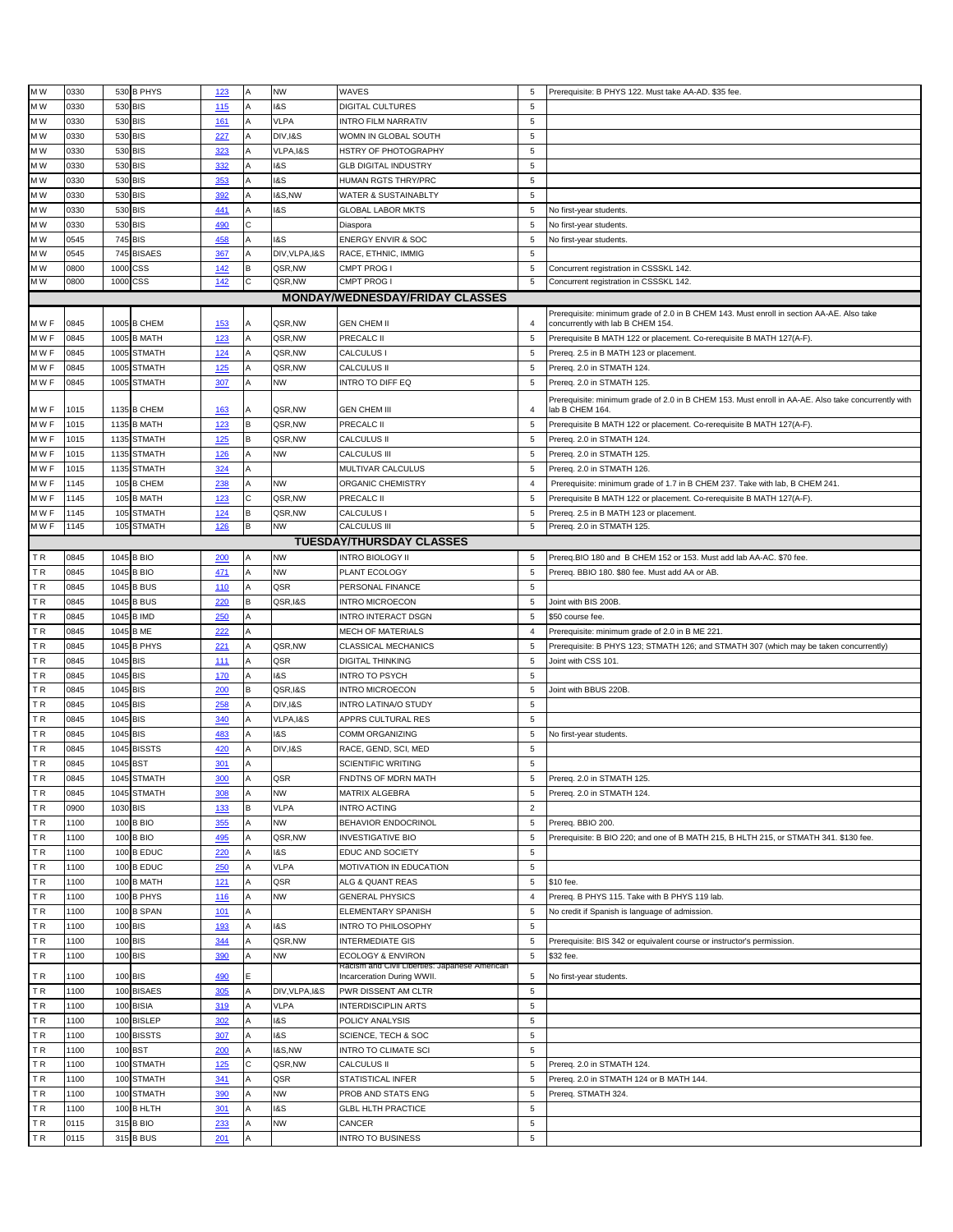| M W       | 0330         |          | 530 B PHYS             | 123             | A | <b>NW</b>         | WAVES                                         | 5                | Prerequisite: B PHYS 122. Must take AA-AD. \$35 fee.                                                |
|-----------|--------------|----------|------------------------|-----------------|---|-------------------|-----------------------------------------------|------------------|-----------------------------------------------------------------------------------------------------|
| M W       | 0330         |          | 530 BIS                |                 |   | <b>1&amp;S</b>    | DIGITAL CULTURES                              | 5                |                                                                                                     |
|           |              |          |                        | 115             |   |                   |                                               |                  |                                                                                                     |
| M W       | 0330         |          | 530 BIS                | <u>161</u>      |   | <b>VLPA</b>       | INTRO FILM NARRATIV                           | 5                |                                                                                                     |
| M W       | 0330         |          | 530 BIS                | 227             |   | DIV, I&S          | WOMN IN GLOBAL SOUTH                          | 5                |                                                                                                     |
| M W       | 0330         |          | 530 BIS                | 323             |   | VLPA, I&S         | HSTRY OF PHOTOGRAPHY                          | $\,$ 5 $\,$      |                                                                                                     |
| M W       | 0330         |          | 530 BIS                | 332             |   | I&S               | <b>GLB DIGITAL INDUSTRY</b>                   | 5                |                                                                                                     |
| M W       | 0330         |          | 530 BIS                | 353             |   | <b>1&amp;S</b>    | HUMAN RGTS THRY/PRC                           | 5                |                                                                                                     |
| M W       | 0330         |          | 530 BIS                |                 |   | <b>1&amp;S,NW</b> | WATER & SUSTAINABLTY                          | 5                |                                                                                                     |
|           |              |          |                        | 392             |   |                   |                                               |                  |                                                                                                     |
| M W       | 0330         |          | 530 BIS                | 441             |   | I&S               | <b>GLOBAL LABOR MKTS</b>                      | $\,$ 5 $\,$      | No first-year students.                                                                             |
| M W       | 0330         |          | 530 BIS                | 490             |   |                   | Diaspora                                      | 5                | No first-year students.                                                                             |
| ΜW        | 0545         |          | 745 BIS                | 458             |   | <b>1&amp;S</b>    | <b>ENERGY ENVIR &amp; SOC</b>                 | 5                | No first-year students.                                                                             |
| M W       | 0545         |          | 745 BISAES             | 367             |   | DIV, VLPA, I&S    | RACE, ETHNIC, IMMIG                           | 5                |                                                                                                     |
| M W       | 0800         |          | 1000 CSS               | 142             | B | QSR,NW            | CMPT PROG I                                   | 5                | Concurrent registration in CSSSKL 142.                                                              |
| M W       | 0800         |          | 1000 CSS               | 142             | C | QSR,NW            | <b>CMPT PROG I</b>                            | 5                | Concurrent registration in CSSSKL 142.                                                              |
|           |              |          |                        |                 |   |                   |                                               |                  |                                                                                                     |
|           |              |          |                        |                 |   |                   | <b>MONDAY/WEDNESDAY/FRIDAY CLASSES</b>        |                  |                                                                                                     |
|           |              |          |                        |                 |   |                   |                                               |                  | Prerequisite: minimum grade of 2.0 in B CHEM 143. Must enroll in section AA-AE. Also take           |
| MWF       | 0845         |          | 1005 B CHEM            | 153             |   | QSR,NW            | GEN CHEM II                                   | 4                | concurrently with lab B CHEM 154.                                                                   |
| M W F     | 0845         |          | 1005 B MATH            | 123             | Α | QSR,NW            | PRECALC II                                    | 5                | Prerequisite B MATH 122 or placement. Co-rerequisite B MATH 127(A-F).                               |
| M W F     | 0845         |          | 1005 STMATH            | <u>124</u>      |   | QSR,NW            | CALCULUS I                                    | 5                | Prereq. 2.5 in B MATH 123 or placement.                                                             |
| MWF       | 0845         |          | 1005 STMATH            | <b>125</b>      |   | QSR,NW            | CALCULUS II                                   | 5                | Prereq. 2.0 in STMATH 124.                                                                          |
|           |              |          |                        |                 |   | <b>NW</b>         |                                               |                  |                                                                                                     |
| MWF       | 0845         |          | 1005 STMATH            | 307             |   |                   | INTRO TO DIFF EQ                              | 5                | Prereq. 2.0 in STMATH 125.                                                                          |
|           |              |          |                        |                 |   |                   |                                               |                  | Prerequisite: minimum grade of 2.0 in B CHEM 153. Must enroll in AA-AE. Also take concurrently with |
| MWF       | 1015         |          | 1135 B CHEM            | <u>163</u>      |   | QSR,NW            | <b>GEN CHEM III</b>                           | $\overline{4}$   | lab B CHEM 164.                                                                                     |
| MWF       | 1015         |          | 1135 B MATH            | 123             |   | QSR,NW            | PRECALC II                                    | 5                | Prerequisite B MATH 122 or placement. Co-rerequisite B MATH 127(A-F).                               |
| MWF       | 1015         |          | 1135 STMATH            | <b>125</b>      | B | QSR,NW            | CALCULUS II                                   | 5                | Prereq. 2.0 in STMATH 124.                                                                          |
| MWF       | 1015         |          | 1135 STMATH            | 126             |   | <b>NW</b>         | CALCULUS III                                  | 5                | Prereq. 2.0 in STMATH 125.                                                                          |
| MWF       | 1015         |          | 1135 STMATH            | 324             |   |                   | MULTIVAR CALCULUS                             | 5                | Prereq. 2.0 in STMATH 126.                                                                          |
|           |              |          |                        |                 | Α |                   |                                               |                  |                                                                                                     |
| MWF       | 1145         |          | 105 B CHEM             | 238             | Α | <b>NW</b>         | ORGANIC CHEMISTRY                             | $\overline{4}$   | Prerequisite: minimum grade of 1.7 in B CHEM 237. Take with lab, B CHEM 241.                        |
| MWF       | 1145         |          | 105 B MATH             | 123             | C | QSR,NW            | PRECALC II                                    | 5                | Prerequisite B MATH 122 or placement. Co-rerequisite B MATH 127(A-F).                               |
| M W F     | 1145         |          | 105 STMATH             | 124             | в | QSR,NW            | <b>CALCULUS</b>                               | 5                | Prereq. 2.5 in B MATH 123 or placement.                                                             |
| M W F     | 1145         |          | 105 STMATH             | <b>126</b>      | в | <b>NW</b>         | CALCULUS III                                  | 5                | Prereg. 2.0 in STMATH 125.                                                                          |
|           |              |          |                        |                 |   |                   | <b>TUESDAY/THURSDAY CLASSES</b>               |                  |                                                                                                     |
|           |              |          |                        |                 |   |                   |                                               |                  |                                                                                                     |
| ΤR        | 0845         |          | 1045 B BIO             | 200             | Α | <b>NW</b>         | INTRO BIOLOGY II                              | $\sqrt{5}$       | Prereq.BIO 180 and B CHEM 152 or 153. Must add lab AA-AC. \$70 fee.                                 |
| TR        | 0845         |          | 1045 B BIO             | 471             | Α | <b>NW</b>         | PLANT ECOLOGY                                 | 5                | Prereq. BBIO 180. \$80 fee. Must add AA or AB.                                                      |
| ΤR        | 0845         |          | 1045 B BUS             | 110             |   | QSR               | PERSONAL FINANCE                              | 5                |                                                                                                     |
| TR        | 0845         |          | 1045 B BUS             | 220             |   | QSR, I&S          | <b>INTRO MICROECON</b>                        | 5                | Joint with BIS 200B.                                                                                |
| TR        | 0845         |          | 1045 B IMD             | 250             |   |                   | INTRO INTERACT DSGN                           | 5                | \$50 course fee.                                                                                    |
|           |              |          |                        |                 |   |                   |                                               |                  |                                                                                                     |
|           | 0845         |          |                        |                 |   |                   |                                               |                  |                                                                                                     |
| TR        |              |          | 1045 B ME              | 222             |   |                   | MECH OF MATERIALS                             | $\overline{4}$   | Prerequisite: minimum grade of 2.0 in B ME 221.                                                     |
| TR        | 0845         |          | 1045 B PHYS            | 221             |   | QSR,NW            | CLASSICAL MECHANICS                           | 5                | Prerequisite: B PHYS 123; STMATH 126; and STMATH 307 (which may be taken concurrently)              |
| TR        | 0845         | 1045 BIS |                        | 111             | Α | QSR               | DIGITAL THINKING                              | 5                | Joint with CSS 101.                                                                                 |
|           |              |          |                        |                 |   |                   |                                               |                  |                                                                                                     |
| TR        | 0845         | 1045 BIS |                        | 170             |   | <b>1&amp;S</b>    | INTRO TO PSYCH                                | 5                |                                                                                                     |
| ΤR        | 0845         | 1045 BIS |                        | 200             | B | QSR, I&S          | <b>INTRO MICROECON</b>                        | 5                | Joint with BBUS 220B                                                                                |
| TR        | 0845         | 1045 BIS |                        | 258             |   | DIV, I&S          | INTRO LATINA/O STUDY                          | 5                |                                                                                                     |
| ΤR        | 0845         | 1045 BIS |                        | 340             |   | VLPA, I&S         | APPRS CULTURAL RES                            | 5                |                                                                                                     |
| TR.       | 0845         | 1045 BIS |                        | 483             |   | <b>1&amp;S</b>    | COMM ORGANIZING                               | 5                | No first-year students.                                                                             |
| TR        | 0845         |          | 1045 BISSTS            | 420             |   | DIV, I&S          |                                               | 5                |                                                                                                     |
|           |              |          |                        |                 |   |                   | RACE, GEND, SCI, MED                          |                  |                                                                                                     |
| TR        | 0845         |          | 1045 BST               | 301             |   |                   | <b>SCIENTIFIC WRITING</b>                     | 5                |                                                                                                     |
| TR        | 0845         |          | 1045 STMATH            | 300             |   | QSR               | FNDTNS OF MDRN MATH                           | 5                | Prereq. 2.0 in STMATH 125.                                                                          |
| TR.       | 0845         |          | 1045 STMATH            | 308             |   | <b>NW</b>         | MATRIX ALGEBRA                                | 5                | Prereq. 2.0 in STMATH 124.                                                                          |
| TR.       | 0900         |          | 1030 BIS               | 133             |   | <b>VLPA</b>       | <b>INTRO ACTING</b>                           | $\overline{2}$   |                                                                                                     |
| ΤR        | 1100         |          | 100 B BIO              | 355             | Α | <b>NW</b>         | BEHAVIOR ENDOCRINOL                           | 5                | Prereq. BBIO 200.                                                                                   |
|           |              |          | 100 B BIO              |                 | Α |                   |                                               |                  |                                                                                                     |
| TR.       | 1100         |          |                        | 495             |   | QSR,NW            | <b>INVESTIGATIVE BIO</b>                      | $\sqrt{5}$       | Prerequisite: B BIO 220; and one of B MATH 215, B HLTH 215, or STMATH 341. \$130 fee.               |
| ΤR        | 1100         |          | 100 B EDUC             | 220             |   | <b>1&amp;S</b>    | EDUC AND SOCIETY                              | 5                |                                                                                                     |
| TR.       | 1100         |          | 100 B EDUC             | 250             | А | <b>VLPA</b>       | MOTIVATION IN EDUCATION                       | 5                |                                                                                                     |
| ΤR        | 1100         |          | 100 B MATH             | 121             |   | QSR               | ALG & QUANT REAS                              | $\,$ 5 $\,$      | \$10 fee.                                                                                           |
| TR        | 1100         |          | 100 B PHYS             | 116             |   | <b>NW</b>         | <b>GENERAL PHYSICS</b>                        | $\overline{4}$   | Prereq. B PHYS 115. Take with B PHYS 119 lab.                                                       |
|           |              |          |                        |                 |   |                   |                                               |                  |                                                                                                     |
| TR.       | 1100         |          | 100 B SPAN             | 101             |   |                   | ELEMENTARY SPANISH                            | 5                | No credit if Spanish is language of admission.                                                      |
| TR.       | 1100         |          | 100 BIS                | 193             | Α | I&S               | INTRO TO PHILOSOPHY                           | 5                |                                                                                                     |
| TR        | 1100         |          | 100 BIS                | 344             |   | QSR,NW            | <b>INTERMEDIATE GIS</b>                       | 5                | Prerequisite: BIS 342 or equivalent course or instructor's permission.                              |
| TR.       | 1100         |          | 100 BIS                | 390             |   | <b>NW</b>         | ECOLOGY & ENVIRON                             | 5                | \$32 fee.                                                                                           |
|           |              |          |                        |                 |   |                   | Racism and Civil Liberties: Japanese American |                  |                                                                                                     |
| ΤR        | 1100         |          | 100 BIS                | 490             |   |                   | Incarceration During WWII.                    | 5                | No first-year students.                                                                             |
| TR.       | 1100         |          | 100 BISAES             | 305             | Α | DIV, VLPA, I&S    | PWR DISSENT AM CLTR                           | $\overline{5}$   |                                                                                                     |
| TR.       | 1100         |          | 100 BISIA              | 319             | Α | <b>VLPA</b>       | INTERDISCIPLIN ARTS                           | $\overline{5}$   |                                                                                                     |
| ΤR        | 1100         |          | 100 BISLEP             | 302             |   | <b>1&amp;S</b>    | POLICY ANALYSIS                               | 5                |                                                                                                     |
|           |              |          |                        |                 | А |                   |                                               |                  |                                                                                                     |
| TR.       | 1100         |          | 100 BISSTS             | 30 <sub>Z</sub> |   | I&S               | SCIENCE, TECH & SOC                           | 5                |                                                                                                     |
| ΤR        | 1100         |          | 100 BST                | 200             |   | <b>1&amp;S,NW</b> | INTRO TO CLIMATE SCI                          | $\,$ 5 $\,$      |                                                                                                     |
| TR        | 1100         |          | 100 STMATH             | 125             | C | QSR,NW            | <b>CALCULUS II</b>                            | 5                | Prereq. 2.0 in STMATH 124.                                                                          |
| TR.       | 1100         |          | 100 STMATH             | 341             |   | QSR               | STATISTICAL INFER                             | 5                | Prereq. 2.0 in STMATH 124 or B MATH 144.                                                            |
| TR.       | 1100         |          | 100 STMATH             | 390             |   | NW                | PROB AND STATS ENG                            | 5                | Prereq. STMATH 324.                                                                                 |
|           |              |          |                        |                 |   |                   |                                               |                  |                                                                                                     |
| TR.       | 1100         |          | 100 B HLTH             | 301             |   | I&S               | <b>GLBL HLTH PRACTICE</b>                     | 5                |                                                                                                     |
| ΤR<br>TR. | 0115<br>0115 |          | 315 B BIO<br>315 B BUS | 233<br>201      |   | NW                | CANCER<br><b>INTRO TO BUSINESS</b>            | 5<br>$\,$ 5 $\,$ |                                                                                                     |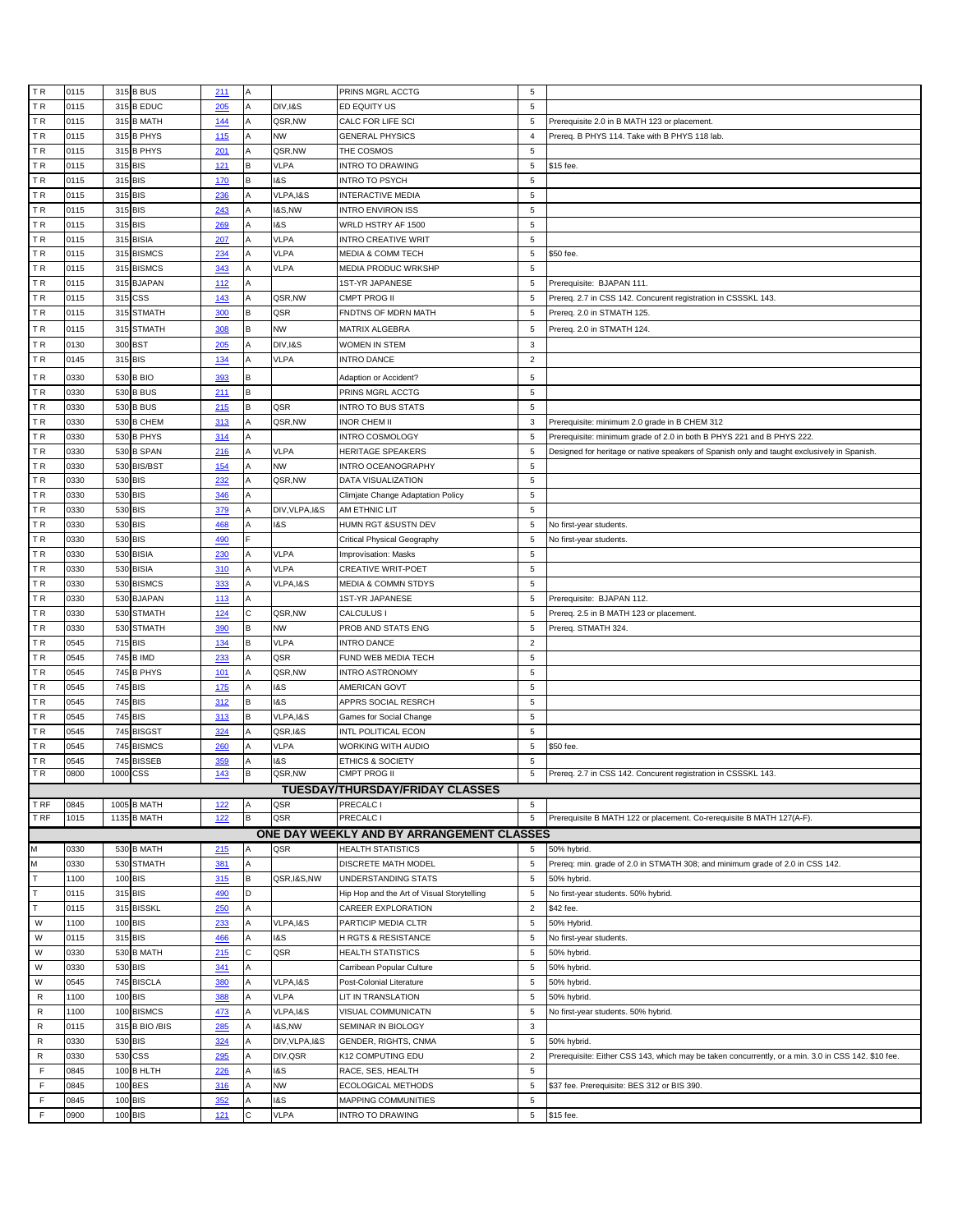| TR                         | 0115         |     | 315 B BUS          | 211        | Α |                   | PRINS MGRL ACCTG                           | 5                |                                                                                                    |
|----------------------------|--------------|-----|--------------------|------------|---|-------------------|--------------------------------------------|------------------|----------------------------------------------------------------------------------------------------|
| <b>TR</b>                  | 0115         |     | 315 B EDUC         | 205        |   | DIV, I&S          | ED EQUITY US                               | 5                |                                                                                                    |
| <b>TR</b>                  | 0115         |     | 315 B MATH         | 144        |   | QSR,NW            | CALC FOR LIFE SCI                          | $\sqrt{5}$       | Prerequisite 2.0 in B MATH 123 or placement.                                                       |
| <b>TR</b>                  | 0115         |     | 315 B PHYS         | 115        |   | <b>NW</b>         | <b>GENERAL PHYSICS</b>                     | $\overline{4}$   | Prereq. B PHYS 114. Take with B PHYS 118 lab.                                                      |
| <b>TR</b>                  | 0115         |     | 315 B PHYS         | 201        | Α | QSR,NW            | THE COSMOS                                 | 5                |                                                                                                    |
| TR                         | 0115         |     | 315 BIS            | 121        | В | <b>VLPA</b>       | NTRO TO DRAWING                            | 5                | \$15 fee.                                                                                          |
| TR.                        | 0115         |     | 315 BIS            | 170        | B | 18S               | NTRO TO PSYCH                              | 5                |                                                                                                    |
| <b>TR</b>                  | 0115         |     | 315 BIS            | 236        |   | VLPA, I&S         | NTERACTIVE MEDIA                           | 5                |                                                                                                    |
| <b>TR</b>                  | 0115         |     | 315 BIS            | 243        |   | <b>1&amp;S,NW</b> | NTRO ENVIRON ISS                           | $\sqrt{5}$       |                                                                                                    |
| <b>TR</b>                  | 0115         |     |                    |            |   |                   |                                            | 5                |                                                                                                    |
|                            |              |     | 315 BIS            | 269        |   | 18S               | WRLD HSTRY AF 1500                         |                  |                                                                                                    |
| TR.                        | 0115         |     | 315 BISIA          | 207        |   | VLPA              | <b>NTRO CREATIVE WRIT</b>                  | 5                |                                                                                                    |
| TR.                        | 0115         |     | 315 BISMCS         | 234        |   | <b>VLPA</b>       | MEDIA & COMM TECH                          | $\sqrt{5}$       | \$50 fee.                                                                                          |
| TR.                        | 0115         |     | 315 BISMCS         | 343        | Α | <b>VLPA</b>       | MEDIA PRODUC WRKSHP                        | 5                |                                                                                                    |
| TR.                        | 0115         | 315 | <b>BJAPAN</b>      | 112        |   |                   | <b>IST-YR JAPANESE</b>                     | 5                | Prerequisite: BJAPAN 111.                                                                          |
| <b>TR</b>                  | 0115         | 315 | <b>CSS</b>         | 143        |   | QSR,NW            | CMPT PROG II                               | 5                | Prereq. 2.7 in CSS 142. Concurent registration in CSSSKL 143.                                      |
| <b>TR</b>                  | 0115         |     | 315 STMATH         | 300        | в | QSR               | FNDTNS OF MDRN MATH                        | 5                | Prereq. 2.0 in STMATH 125.                                                                         |
| TR.                        | 0115         |     | 315 STMATH         | 308        | В | <b>NW</b>         | MATRIX ALGEBRA                             | 5                | Prereq. 2.0 in STMATH 124.                                                                         |
| <b>TR</b>                  | 0130         |     | 300 BST            | 205        |   | DIV, I&S          | WOMEN IN STEM                              | $_{\rm 3}$       |                                                                                                    |
| <b>TR</b>                  | 0145         |     | 315 BIS            | 134        |   | <b>VLPA</b>       | <b>INTRO DANCE</b>                         | $\overline{2}$   |                                                                                                    |
|                            |              |     |                    |            |   |                   |                                            |                  |                                                                                                    |
| TR.                        | 0330         |     | 530 B BIO          | 393        | R |                   | Adaption or Accident?                      | 5                |                                                                                                    |
| <b>TR</b>                  | 0330         |     | 530 B BUS          | 211        | В |                   | PRINS MGRL ACCTG                           | $\sqrt{5}$       |                                                                                                    |
| ΤR                         | 0330         | 530 | <b>B BUS</b>       | 215        |   | QSR               | NTRO TO BUS STATS                          | 5                |                                                                                                    |
| <b>TR</b>                  | 0330         |     | 530 B CHEM         | 313        |   | QSR,NW            | INOR CHEM II                               | $_{3}$           | Prerequisite: minimum 2.0 grade in B CHEM 312                                                      |
| TR.                        | 0330         |     | 530 B PHYS         | 314        |   |                   | NTRO COSMOLOGY                             | $\sqrt{5}$       | Prerequisite: minimum grade of 2.0 in both B PHYS 221 and B PHYS 222.                              |
| ΤR                         | 0330         | 530 | <b>B SPAN</b>      | 216        |   | <b>VLPA</b>       | <b>HERITAGE SPEAKERS</b>                   | 5                | Designed for heritage or native speakers of Spanish only and taught exclusively in Spanish.        |
| <b>TR</b>                  | 0330         |     | 530 BIS/BST        | <u>154</u> |   | <b>NW</b>         | <b>NTRO OCEANOGRAPHY</b>                   | $\sqrt{5}$       |                                                                                                    |
| <b>TR</b>                  | 0330         |     | 530 BIS            | 232        |   | QSR,NW            | DATA VISUALIZATION                         | $\sqrt{5}$       |                                                                                                    |
|                            |              |     |                    |            |   |                   |                                            |                  |                                                                                                    |
| TR.                        | 0330         |     | 530 BIS            | 346        |   |                   | Climjate Change Adaptation Policy          | $\sqrt{5}$       |                                                                                                    |
| TR.                        | 0330         |     | 530 BIS            | 379        | Α | DIV, VLPA, I&S    | AM ETHNIC LIT                              | $\overline{5}$   |                                                                                                    |
| TR.                        | 0330         |     | 530 BIS            | 468        |   | 18S               | HUMN RGT &SUSTN DEV                        | $\sqrt{5}$       | No first-year students.                                                                            |
| TR.                        | 0330         |     | 530 BIS            | 490        |   |                   | Critical Physical Geography                | 5                | No first-year students.                                                                            |
| <b>TR</b>                  | 0330         | 530 | <b>BISIA</b>       | 230        |   | <b>VLPA</b>       | mprovisation: Masks                        | $\sqrt{5}$       |                                                                                                    |
| <b>TR</b>                  | 0330         |     | 530 BISIA          | 310        |   | <b>VLPA</b>       | CREATIVE WRIT-POET                         | $\sqrt{5}$       |                                                                                                    |
| <b>TR</b>                  | 0330         | 530 | <b>BISMCS</b>      | 333        |   | VLPA, I&S         | <b>MEDIA &amp; COMMN STDYS</b>             | 5                |                                                                                                    |
| TR.                        | 0330         | 530 | <b>BJAPAN</b>      | 113        |   |                   | 1ST-YR JAPANESE                            | $\sqrt{5}$       | Prerequisite: BJAPAN 112.                                                                          |
|                            |              |     |                    |            |   |                   |                                            |                  |                                                                                                    |
| TR.                        | 0330         |     | 530 STMATH         |            | С | QSR,NW            | CALCULUS I                                 | $\sqrt{5}$       |                                                                                                    |
|                            | 0330         |     |                    | 124        | В |                   |                                            | 5                | Prereq. 2.5 in B MATH 123 or placement.                                                            |
| TR.                        |              |     | 530 STMATH         | 390        |   | <b>NW</b>         | PROB AND STATS ENG                         |                  | Prereq. STMATH 324.                                                                                |
| <b>TR</b>                  | 0545         |     | 715 BIS            | 134        | в | <b>VLPA</b>       | <b>NTRO DANCE</b>                          | $\overline{2}$   |                                                                                                    |
| <b>TR</b>                  | 0545         |     | 745 B IMD          | 233        |   | QSR               | FUND WEB MEDIA TECH                        | 5                |                                                                                                    |
| <b>TR</b>                  | 0545         |     | 745 B PHYS         | 101        |   | QSR,NW            | <b>INTRO ASTRONOMY</b>                     | 5                |                                                                                                    |
| TR.                        | 0545         | 745 | <b>BIS</b>         | 175        |   | 1&S               | AMERICAN GOVT                              | 5                |                                                                                                    |
| TR.                        | 0545         |     | 745 BIS            | 312        | В | I&S               | APPRS SOCIAL RESRCH                        | $\sqrt{5}$       |                                                                                                    |
| TR.                        | 0545         |     | 745 BIS            | 313        | в | VLPA, I&S         | Games for Social Change                    | 5                |                                                                                                    |
| TR.                        | 0545         | 745 | <b>BISGST</b>      | 324        |   | QSR, I&S          | NTL POLITICAL ECON                         | 5                |                                                                                                    |
| <b>TR</b>                  | 0545         |     | 745 BISMCS         | 260        |   | VLPA              | WORKING WITH AUDIO                         | $\sqrt{5}$       | \$50 fee.                                                                                          |
| <b>TR</b>                  | 0545         |     | 745 BISSEB         | 359        |   | <b>1&amp;S</b>    | ETHICS & SOCIETY                           | 5                |                                                                                                    |
| TR                         | 0800         |     | 1000 CSS           | 143        | B | QSR,NW            | CMPT PROG II                               | 5                | Prereq. 2.7 in CSS 142. Concurent registration in CSSSKL 143.                                      |
|                            |              |     |                    |            |   |                   | <b>TUESDAY/THURSDAY/FRIDAY CLASSES</b>     |                  |                                                                                                    |
| T RF                       | 0845         |     | 1005 B MATH        | 122        | Α | QSR               | PRECALC I                                  | 5                |                                                                                                    |
| T RF                       | 1015         |     | 1135 B MATH        | 122        | в | QSR               | PRECALC I                                  | $\overline{5}$   | Prerequisite B MATH 122 or placement. Co-rerequisite B MATH 127(A-F).                              |
|                            |              |     |                    |            |   |                   |                                            |                  |                                                                                                    |
|                            |              |     |                    |            |   |                   | ONE DAY WEEKLY AND BY ARRANGEMENT CLASSES  | 5                |                                                                                                    |
| M                          | 0330         |     | 530 B MATH         | 215        |   | QSR               | <b>HEALTH STATISTICS</b>                   |                  | 50% hybrid.                                                                                        |
| M                          | 0330         | 530 | <b>STMATH</b>      | 381        |   |                   | DISCRETE MATH MODEL                        | 5                | Prereg: min. grade of 2.0 in STMATH 308; and minimum grade of 2.0 in CSS 142.                      |
| Ŧ                          | 1100         |     | 100 BIS            | 315        | В | QSR, I&S, NW      | UNDERSTANDING STATS                        | $\overline{5}$   | 50% hybrid.                                                                                        |
| T                          | 0115         |     | 315 BIS            | 490        | D |                   | Hip Hop and the Art of Visual Storytelling | 5                | No first-year students. 50% hybrid.                                                                |
| $\mathsf{T}$               | 0115         |     | 315 BISSKL         | 250        | A |                   | CAREER EXPLORATION                         | $\overline{2}$   | \$42 fee.                                                                                          |
| W                          | 1100         |     | 100 BIS            | 233        | Α | VLPA, I&S         | PARTICIP MEDIA CLTR                        | 5                | 50% Hybrid.                                                                                        |
| W                          | 0115         |     | 315 BIS            | 466        |   | 18S               | H RGTS & RESISTANCE                        | 5                | No first-year students.                                                                            |
| W                          | 0330         |     | 530 B MATH         | 215        | С | QSR               | HEALTH STATISTICS                          | 5                | 50% hybrid.                                                                                        |
| W                          | 0330         |     | 530 BIS            | 341        | Α |                   | Carribean Popular Culture                  | $\overline{5}$   | 50% hybrid.                                                                                        |
| W                          | 0545         |     | 745 BISCLA         | 380        | Α | VLPA, I&S         | Post-Colonial Literature                   | $\overline{5}$   | 50% hybrid.                                                                                        |
| R                          | 1100         |     | 100 BIS            | 388        | Α | <b>VLPA</b>       | <b>LIT IN TRANSLATION</b>                  | 5                | 50% hybrid.                                                                                        |
|                            | 1100         |     |                    |            |   |                   |                                            | 5                |                                                                                                    |
| R                          |              | 100 | <b>BISMCS</b>      | 473        |   | VLPA, I&S         | VISUAL COMMUNICATN                         |                  | No first-year students. 50% hybrid.                                                                |
| ${\sf R}$                  | 0115         |     | 315 B BIO / BIS    | 285        | Α | <b>1&amp;S,NW</b> | SEMINAR IN BIOLOGY                         | 3                |                                                                                                    |
| R                          | 0330         |     | 530 BIS            | 324        |   | DIV, VLPA, I&S    | GENDER, RIGHTS, CNMA                       | 5                | 50% hybrid.                                                                                        |
| R                          | 0330         | 530 | CSS                | 295        |   | DIV, QSR          | K12 COMPUTING EDU                          | $\overline{2}$   | Prerequisite: Either CSS 143, which may be taken concurrently, or a min. 3.0 in CSS 142. \$10 fee. |
| F                          | 0845         |     | 100 B HLTH         | 226        |   | <b>1&amp;S</b>    | RACE, SES, HEALTH                          | $\sqrt{5}$       |                                                                                                    |
| $\mathsf F$                | 0845         |     | 100 BES            | 316        |   | <b>NW</b>         | ECOLOGICAL METHODS                         | 5                | \$37 fee. Prerequisite: BES 312 or BIS 390.                                                        |
| $\mathsf F$<br>$\mathsf F$ | 0845<br>0900 |     | 100 BIS<br>100 BIS | 352<br>121 | Ċ | I&S<br>VLPA       | MAPPING COMMUNITIES<br>NTRO TO DRAWING     | 5<br>$\,$ 5 $\,$ | \$15 fee.                                                                                          |